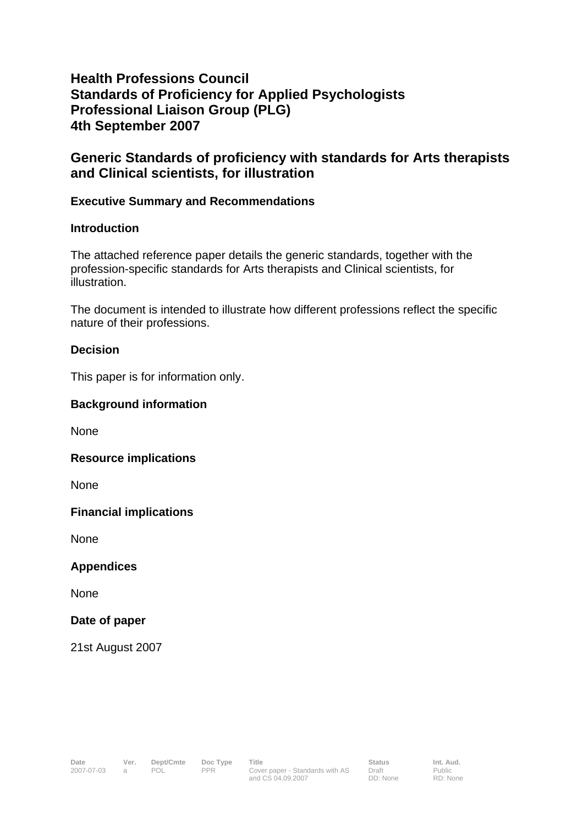# **Health Professions Council Standards of Proficiency for Applied Psychologists Professional Liaison Group (PLG) 4th September 2007**

## **Generic Standards of proficiency with standards for Arts therapists and Clinical scientists, for illustration**

## **Executive Summary and Recommendations**

#### **Introduction**

The attached reference paper details the generic standards, together with the profession-specific standards for Arts therapists and Clinical scientists, for illustration.

The document is intended to illustrate how different professions reflect the specific nature of their professions.

### **Decision**

This paper is for information only.

#### **Background information**

None

#### **Resource implications**

**None** 

#### **Financial implications**

None

#### **Appendices**

None

#### **Date of paper**

21st August 2007

RD: None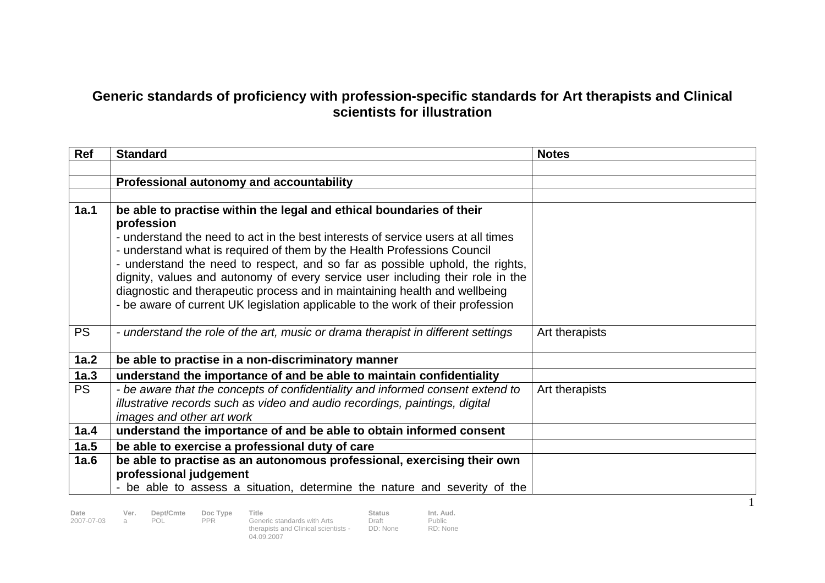# **Generic standards of proficiency with profession-specific standards for Art therapists and Clinical scientists for illustration**

| Ref       | <b>Standard</b>                                                                                                                                                                                                                                                                                                                                                                                                                                                                                                                                                                      | <b>Notes</b>   |
|-----------|--------------------------------------------------------------------------------------------------------------------------------------------------------------------------------------------------------------------------------------------------------------------------------------------------------------------------------------------------------------------------------------------------------------------------------------------------------------------------------------------------------------------------------------------------------------------------------------|----------------|
|           |                                                                                                                                                                                                                                                                                                                                                                                                                                                                                                                                                                                      |                |
|           | Professional autonomy and accountability                                                                                                                                                                                                                                                                                                                                                                                                                                                                                                                                             |                |
|           |                                                                                                                                                                                                                                                                                                                                                                                                                                                                                                                                                                                      |                |
| 1a.1      | be able to practise within the legal and ethical boundaries of their<br>profession<br>- understand the need to act in the best interests of service users at all times<br>- understand what is required of them by the Health Professions Council<br>- understand the need to respect, and so far as possible uphold, the rights,<br>dignity, values and autonomy of every service user including their role in the<br>diagnostic and therapeutic process and in maintaining health and wellbeing<br>- be aware of current UK legislation applicable to the work of their profession |                |
| <b>PS</b> | - understand the role of the art, music or drama therapist in different settings                                                                                                                                                                                                                                                                                                                                                                                                                                                                                                     | Art therapists |
| 1a.2      | be able to practise in a non-discriminatory manner                                                                                                                                                                                                                                                                                                                                                                                                                                                                                                                                   |                |
| 1a.3      | understand the importance of and be able to maintain confidentiality                                                                                                                                                                                                                                                                                                                                                                                                                                                                                                                 |                |
| <b>PS</b> | - be aware that the concepts of confidentiality and informed consent extend to<br>illustrative records such as video and audio recordings, paintings, digital<br>images and other art work                                                                                                                                                                                                                                                                                                                                                                                           | Art therapists |
| 1a.4      | understand the importance of and be able to obtain informed consent                                                                                                                                                                                                                                                                                                                                                                                                                                                                                                                  |                |
| 1a.5      | be able to exercise a professional duty of care                                                                                                                                                                                                                                                                                                                                                                                                                                                                                                                                      |                |
| 1a.6      | be able to practise as an autonomous professional, exercising their own<br>professional judgement<br>- be able to assess a situation, determine the nature and severity of the                                                                                                                                                                                                                                                                                                                                                                                                       |                |

Date Ver. Dept/Cmte Doc Type Title .<br>2007-07-03 a POL PPR Generic standards with Arts Draft . Public<br>therapists and Clinical scientists - DD: None RD: None 04.09.2007

Public RD: None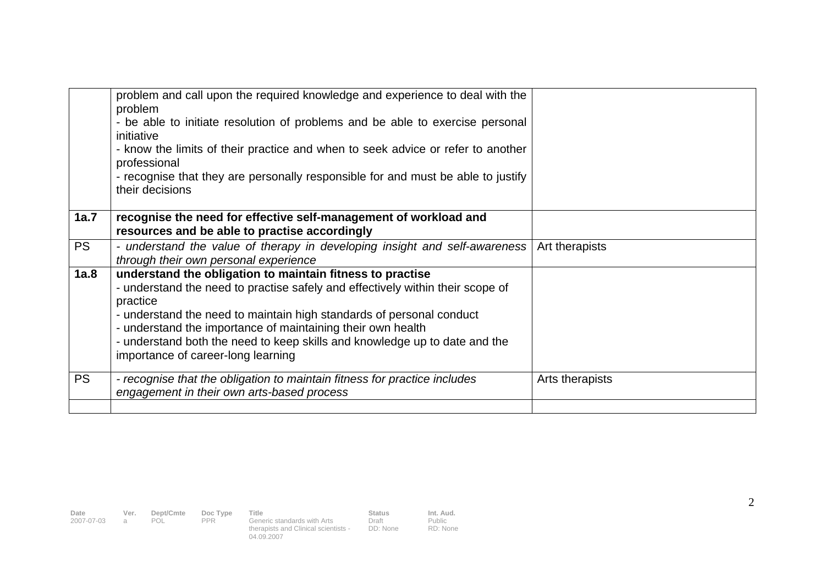|           | problem and call upon the required knowledge and experience to deal with the<br>problem                                                                                                                                                                                                                                                                                                                            |                 |
|-----------|--------------------------------------------------------------------------------------------------------------------------------------------------------------------------------------------------------------------------------------------------------------------------------------------------------------------------------------------------------------------------------------------------------------------|-----------------|
|           | - be able to initiate resolution of problems and be able to exercise personal<br>initiative                                                                                                                                                                                                                                                                                                                        |                 |
|           | - know the limits of their practice and when to seek advice or refer to another                                                                                                                                                                                                                                                                                                                                    |                 |
|           | professional<br>- recognise that they are personally responsible for and must be able to justify<br>their decisions                                                                                                                                                                                                                                                                                                |                 |
|           |                                                                                                                                                                                                                                                                                                                                                                                                                    |                 |
| 1a.7      | recognise the need for effective self-management of workload and<br>resources and be able to practise accordingly                                                                                                                                                                                                                                                                                                  |                 |
| <b>PS</b> | - understand the value of therapy in developing insight and self-awareness<br>through their own personal experience                                                                                                                                                                                                                                                                                                | Art therapists  |
| 1a.8      | understand the obligation to maintain fitness to practise<br>- understand the need to practise safely and effectively within their scope of<br>practice<br>- understand the need to maintain high standards of personal conduct<br>- understand the importance of maintaining their own health<br>- understand both the need to keep skills and knowledge up to date and the<br>importance of career-long learning |                 |
| <b>PS</b> | - recognise that the obligation to maintain fitness for practice includes<br>engagement in their own arts-based process                                                                                                                                                                                                                                                                                            | Arts therapists |
|           |                                                                                                                                                                                                                                                                                                                                                                                                                    |                 |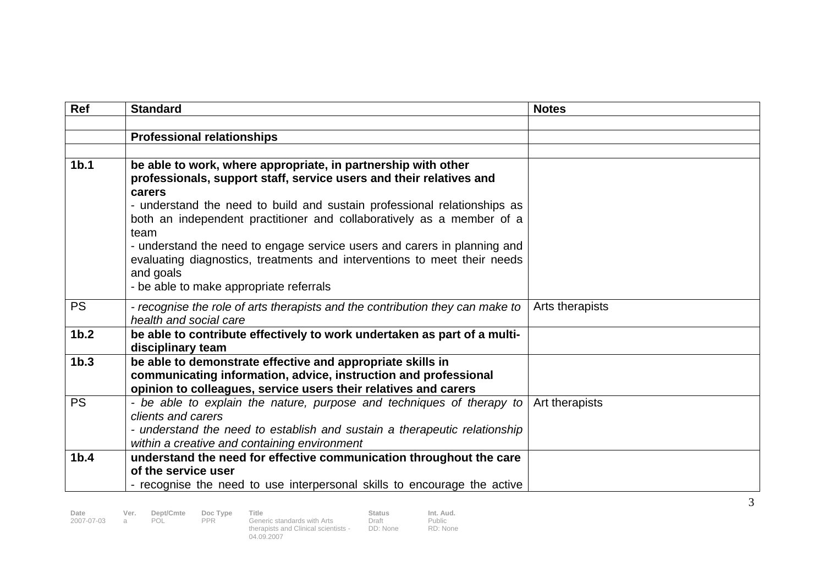| Ref              | <b>Standard</b>                                                                                                                                                                                                            | <b>Notes</b>    |  |
|------------------|----------------------------------------------------------------------------------------------------------------------------------------------------------------------------------------------------------------------------|-----------------|--|
|                  |                                                                                                                                                                                                                            |                 |  |
|                  | <b>Professional relationships</b>                                                                                                                                                                                          |                 |  |
|                  |                                                                                                                                                                                                                            |                 |  |
| 1 <sub>b.1</sub> | be able to work, where appropriate, in partnership with other<br>professionals, support staff, service users and their relatives and<br>carers<br>- understand the need to build and sustain professional relationships as |                 |  |
|                  | both an independent practitioner and collaboratively as a member of a<br>team                                                                                                                                              |                 |  |
|                  | - understand the need to engage service users and carers in planning and<br>evaluating diagnostics, treatments and interventions to meet their needs<br>and goals<br>- be able to make appropriate referrals               |                 |  |
|                  |                                                                                                                                                                                                                            |                 |  |
| <b>PS</b>        | - recognise the role of arts therapists and the contribution they can make to<br>health and social care                                                                                                                    | Arts therapists |  |
| 1 <sub>b.2</sub> | be able to contribute effectively to work undertaken as part of a multi-<br>disciplinary team                                                                                                                              |                 |  |
| 1 <sub>b.3</sub> | be able to demonstrate effective and appropriate skills in<br>communicating information, advice, instruction and professional<br>opinion to colleagues, service users their relatives and carers                           |                 |  |
| <b>PS</b>        | - be able to explain the nature, purpose and techniques of therapy to<br>clients and carers<br>- understand the need to establish and sustain a therapeutic relationship                                                   | Art therapists  |  |
|                  | within a creative and containing environment                                                                                                                                                                               |                 |  |
| 1 <sub>b.4</sub> | understand the need for effective communication throughout the care                                                                                                                                                        |                 |  |
|                  | of the service user                                                                                                                                                                                                        |                 |  |
|                  | - recognise the need to use interpersonal skills to encourage the active                                                                                                                                                   |                 |  |

Public RD: None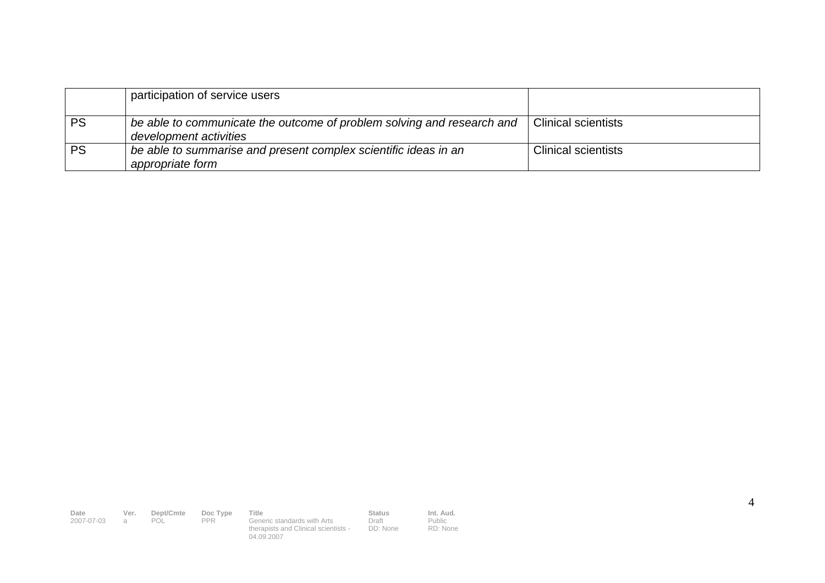|           | participation of service users                                                                   |                            |
|-----------|--------------------------------------------------------------------------------------------------|----------------------------|
| <b>PS</b> | be able to communicate the outcome of problem solving and research and<br>development activities | <b>Clinical scientists</b> |
| <b>PS</b> | be able to summarise and present complex scientific ideas in an<br>appropriate form              | <b>Clinical scientists</b> |

**Date Ver. Dept/Cmte Doc Type Title Status Status Int. Aud.**<br>
2007-07-03 a POL PPR Generic standards with Arts Draft Public<br>
14.09.2007<br>
204.09.2007 Draft DD: None Public RD: None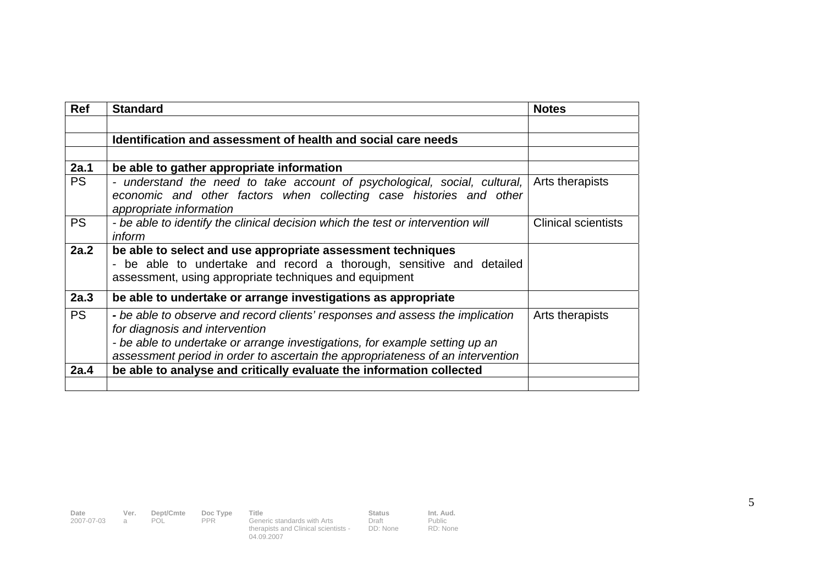| <b>Ref</b> | <b>Standard</b>                                                                                                                                                                                                                                                                  | <b>Notes</b>               |
|------------|----------------------------------------------------------------------------------------------------------------------------------------------------------------------------------------------------------------------------------------------------------------------------------|----------------------------|
|            |                                                                                                                                                                                                                                                                                  |                            |
|            | Identification and assessment of health and social care needs                                                                                                                                                                                                                    |                            |
|            |                                                                                                                                                                                                                                                                                  |                            |
| 2a.1       | be able to gather appropriate information                                                                                                                                                                                                                                        |                            |
| <b>PS</b>  | - understand the need to take account of psychological, social, cultural, $ $<br>economic and other factors when collecting case histories and other<br>appropriate information                                                                                                  | Arts therapists            |
| <b>PS</b>  | - be able to identify the clinical decision which the test or intervention will<br><i>inform</i>                                                                                                                                                                                 | <b>Clinical scientists</b> |
| 2a.2       | be able to select and use appropriate assessment techniques<br>- be able to undertake and record a thorough, sensitive and detailed<br>assessment, using appropriate techniques and equipment                                                                                    |                            |
| 2a.3       | be able to undertake or arrange investigations as appropriate                                                                                                                                                                                                                    |                            |
| <b>PS</b>  | - be able to observe and record clients' responses and assess the implication<br>for diagnosis and intervention<br>- be able to undertake or arrange investigations, for example setting up an<br>assessment period in order to ascertain the appropriateness of an intervention | Arts therapists            |
| 2a.4       | be able to analyse and critically evaluate the information collected                                                                                                                                                                                                             |                            |
|            |                                                                                                                                                                                                                                                                                  |                            |

**Date Ver. Dept/Cmte Doc Type Title Status Status Int. Aud.**<br>
2007-07-03 a POL PPR Generic standards with Arts Draft Public<br>
14.09.2007<br>
204.09.2007

Public RD: None

Draft DD: None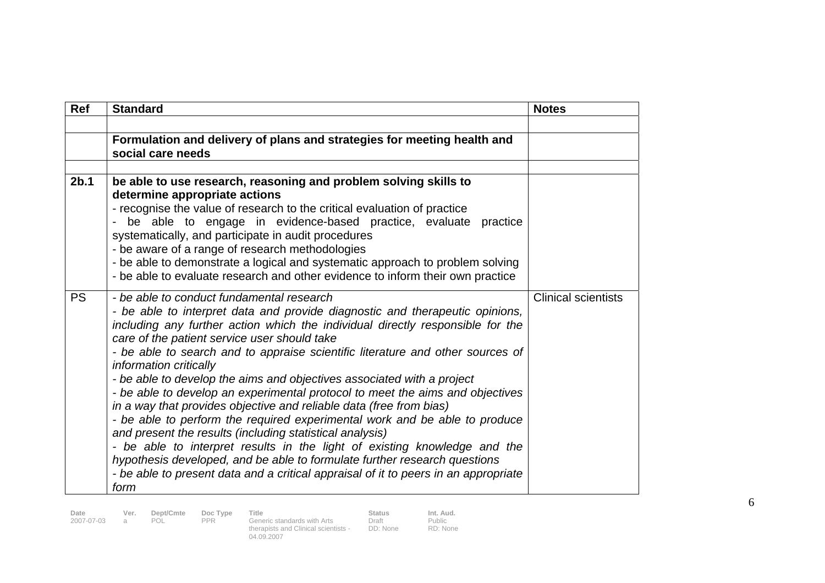| <b>Ref</b>       | <b>Standard</b>                                                                                                                                                                                                                                                                                                                                                                                                                                                                                                                                                                                                                                                                                                                                                                                                                                                                                                                                                                                              | <b>Notes</b>               |
|------------------|--------------------------------------------------------------------------------------------------------------------------------------------------------------------------------------------------------------------------------------------------------------------------------------------------------------------------------------------------------------------------------------------------------------------------------------------------------------------------------------------------------------------------------------------------------------------------------------------------------------------------------------------------------------------------------------------------------------------------------------------------------------------------------------------------------------------------------------------------------------------------------------------------------------------------------------------------------------------------------------------------------------|----------------------------|
|                  |                                                                                                                                                                                                                                                                                                                                                                                                                                                                                                                                                                                                                                                                                                                                                                                                                                                                                                                                                                                                              |                            |
|                  | Formulation and delivery of plans and strategies for meeting health and<br>social care needs                                                                                                                                                                                                                                                                                                                                                                                                                                                                                                                                                                                                                                                                                                                                                                                                                                                                                                                 |                            |
|                  |                                                                                                                                                                                                                                                                                                                                                                                                                                                                                                                                                                                                                                                                                                                                                                                                                                                                                                                                                                                                              |                            |
| 2 <sub>b.1</sub> | be able to use research, reasoning and problem solving skills to<br>determine appropriate actions<br>- recognise the value of research to the critical evaluation of practice<br>be able to engage in evidence-based practice, evaluate practice<br>systematically, and participate in audit procedures<br>- be aware of a range of research methodologies<br>- be able to demonstrate a logical and systematic approach to problem solving<br>- be able to evaluate research and other evidence to inform their own practice                                                                                                                                                                                                                                                                                                                                                                                                                                                                                |                            |
| <b>PS</b>        | - be able to conduct fundamental research<br>- be able to interpret data and provide diagnostic and therapeutic opinions,<br>including any further action which the individual directly responsible for the<br>care of the patient service user should take<br>- be able to search and to appraise scientific literature and other sources of<br>information critically<br>- be able to develop the aims and objectives associated with a project<br>- be able to develop an experimental protocol to meet the aims and objectives<br>in a way that provides objective and reliable data (free from bias)<br>- be able to perform the required experimental work and be able to produce<br>and present the results (including statistical analysis)<br>- be able to interpret results in the light of existing knowledge and the<br>hypothesis developed, and be able to formulate further research questions<br>- be able to present data and a critical appraisal of it to peers in an appropriate<br>form | <b>Clinical scientists</b> |

**Date Ver. Dept/Cmte Doc Type Title . Status Status Int. Aud.**<br>2007-07-03 a POL PPR Generic standards with Arts Draft . Public therapists and Clinical scientists - 04.09.2007

Draft DD: None

Public RD: None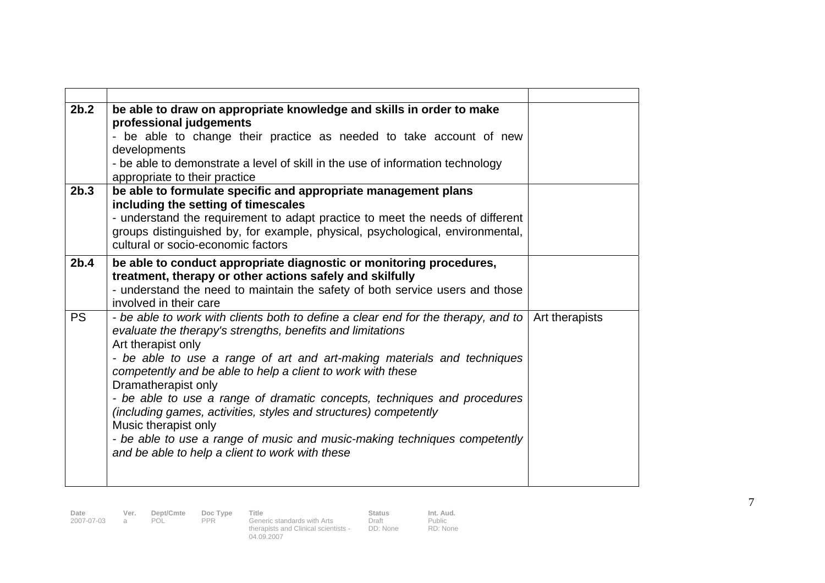| 2b.2             | be able to draw on appropriate knowledge and skills in order to make<br>professional judgements<br>- be able to change their practice as needed to take account of new<br>developments                                                                                                                                                                                                                                                                                                                                                                                                                                                         |                |
|------------------|------------------------------------------------------------------------------------------------------------------------------------------------------------------------------------------------------------------------------------------------------------------------------------------------------------------------------------------------------------------------------------------------------------------------------------------------------------------------------------------------------------------------------------------------------------------------------------------------------------------------------------------------|----------------|
|                  | - be able to demonstrate a level of skill in the use of information technology<br>appropriate to their practice                                                                                                                                                                                                                                                                                                                                                                                                                                                                                                                                |                |
| 2 <sub>b.3</sub> | be able to formulate specific and appropriate management plans<br>including the setting of timescales<br>- understand the requirement to adapt practice to meet the needs of different<br>groups distinguished by, for example, physical, psychological, environmental,<br>cultural or socio-economic factors                                                                                                                                                                                                                                                                                                                                  |                |
| 2 <sub>b.4</sub> | be able to conduct appropriate diagnostic or monitoring procedures,<br>treatment, therapy or other actions safely and skilfully<br>- understand the need to maintain the safety of both service users and those<br>involved in their care                                                                                                                                                                                                                                                                                                                                                                                                      |                |
| <b>PS</b>        | - be able to work with clients both to define a clear end for the therapy, and to<br>evaluate the therapy's strengths, benefits and limitations<br>Art therapist only<br>- be able to use a range of art and art-making materials and techniques<br>competently and be able to help a client to work with these<br>Dramatherapist only<br>- be able to use a range of dramatic concepts, techniques and procedures<br>(including games, activities, styles and structures) competently<br>Music therapist only<br>- be able to use a range of music and music-making techniques competently<br>and be able to help a client to work with these | Art therapists |

**Date Ver. Dept/Cmte Doc Type Title . Status Status Int. Aud.**<br>2007-07-03 a POL PPR Generic standards with Arts Draft . Public therapists and Clinical scientists - 04.09.2007

Draft DD: None

Public RD: None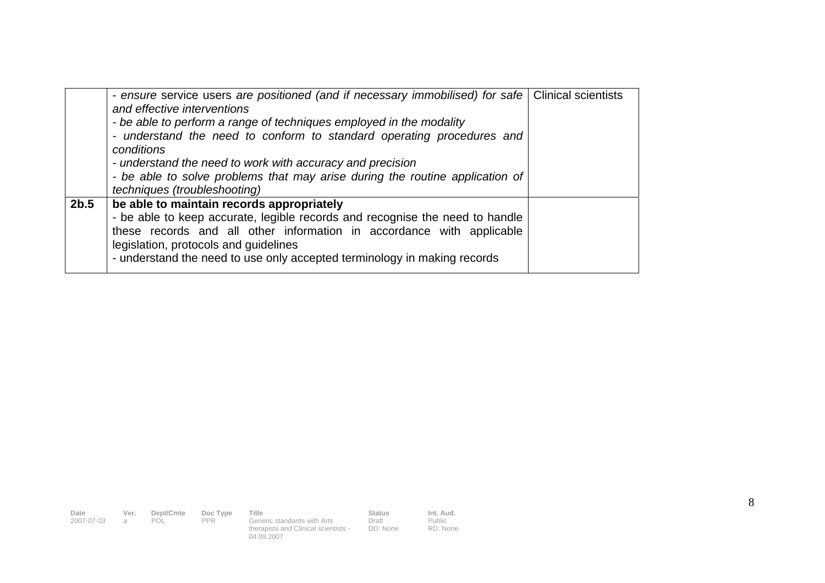|      | - ensure service users are positioned (and if necessary immobilised) for safe   Clinical scientists<br>and effective interventions<br>- be able to perform a range of techniques employed in the modality<br>- understand the need to conform to standard operating procedures and<br>conditions<br>- understand the need to work with accuracy and precision<br>- be able to solve problems that may arise during the routine application of<br>techniques (troubleshooting) |  |
|------|-------------------------------------------------------------------------------------------------------------------------------------------------------------------------------------------------------------------------------------------------------------------------------------------------------------------------------------------------------------------------------------------------------------------------------------------------------------------------------|--|
| 2b.5 | be able to maintain records appropriately<br>- be able to keep accurate, legible records and recognise the need to handle<br>these records and all other information in accordance with applicable<br>legislation, protocols and guidelines<br>- understand the need to use only accepted terminology in making records                                                                                                                                                       |  |

**Date Ver. Dept/Cmte Doc Type Title Status Status Int. Aud.**<br>
2007-07-03 a POL PPR Generic standards with Arts Draft Public<br>
14.09.2007<br>
204.09.2007 Draft DD: None Public RD: None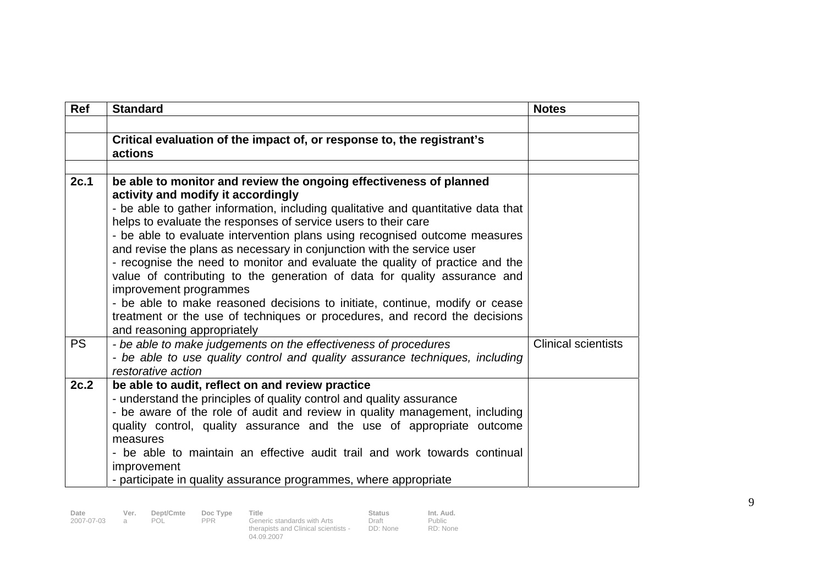| Ref       | <b>Standard</b>                                                                                                                                                                                                                                                                                                                                                                                                                                                                                                                                                                                                                                                                                                                                                                                            | <b>Notes</b>               |  |  |  |
|-----------|------------------------------------------------------------------------------------------------------------------------------------------------------------------------------------------------------------------------------------------------------------------------------------------------------------------------------------------------------------------------------------------------------------------------------------------------------------------------------------------------------------------------------------------------------------------------------------------------------------------------------------------------------------------------------------------------------------------------------------------------------------------------------------------------------------|----------------------------|--|--|--|
|           |                                                                                                                                                                                                                                                                                                                                                                                                                                                                                                                                                                                                                                                                                                                                                                                                            |                            |  |  |  |
|           | Critical evaluation of the impact of, or response to, the registrant's<br>actions                                                                                                                                                                                                                                                                                                                                                                                                                                                                                                                                                                                                                                                                                                                          |                            |  |  |  |
|           |                                                                                                                                                                                                                                                                                                                                                                                                                                                                                                                                                                                                                                                                                                                                                                                                            |                            |  |  |  |
| 2c.1      | be able to monitor and review the ongoing effectiveness of planned<br>activity and modify it accordingly<br>- be able to gather information, including qualitative and quantitative data that<br>helps to evaluate the responses of service users to their care<br>- be able to evaluate intervention plans using recognised outcome measures<br>and revise the plans as necessary in conjunction with the service user<br>- recognise the need to monitor and evaluate the quality of practice and the<br>value of contributing to the generation of data for quality assurance and<br>improvement programmes<br>- be able to make reasoned decisions to initiate, continue, modify or cease<br>treatment or the use of techniques or procedures, and record the decisions<br>and reasoning appropriately |                            |  |  |  |
| <b>PS</b> | - be able to make judgements on the effectiveness of procedures<br>- be able to use quality control and quality assurance techniques, including<br>restorative action                                                                                                                                                                                                                                                                                                                                                                                                                                                                                                                                                                                                                                      | <b>Clinical scientists</b> |  |  |  |
| 2c.2      | be able to audit, reflect on and review practice<br>- understand the principles of quality control and quality assurance<br>- be aware of the role of audit and review in quality management, including<br>quality control, quality assurance and the use of appropriate outcome<br>measures<br>- be able to maintain an effective audit trail and work towards continual<br>improvement<br>- participate in quality assurance programmes, where appropriate                                                                                                                                                                                                                                                                                                                                               |                            |  |  |  |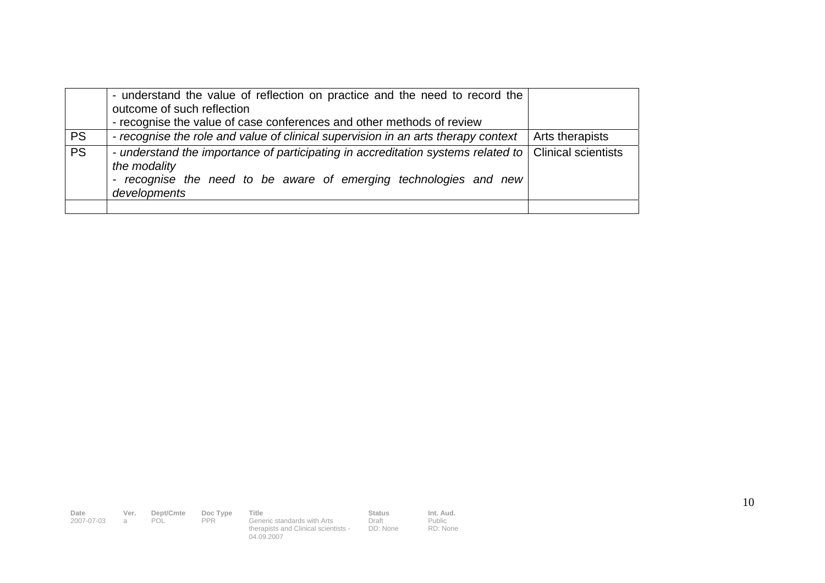|           | - understand the value of reflection on practice and the need to record the<br>outcome of such reflection<br>- recognise the value of case conferences and other methods of review                                                    |                 |
|-----------|---------------------------------------------------------------------------------------------------------------------------------------------------------------------------------------------------------------------------------------|-----------------|
| <b>PS</b> | - recognise the role and value of clinical supervision in an arts therapy context                                                                                                                                                     | Arts therapists |
| PS        | - understand the importance of participating in accreditation systems related to   Clinical scientists<br>the modality<br>recognise the need to be aware of emerging technologies and new<br>$\overline{\phantom{a}}$<br>developments |                 |
|           |                                                                                                                                                                                                                                       |                 |

| Date         | Ver. | Dept/Cmte | Doc Type | Title                                | Status   | Int. Aud. |
|--------------|------|-----------|----------|--------------------------------------|----------|-----------|
| 2007-07-03 a |      | POL       | PPR      | Generic standards with Arts          | Draft    | Public    |
|              |      |           |          | therapists and Clinical scientists - | DD: None | RD: None  |
|              |      |           |          | 04.09.2007                           |          |           |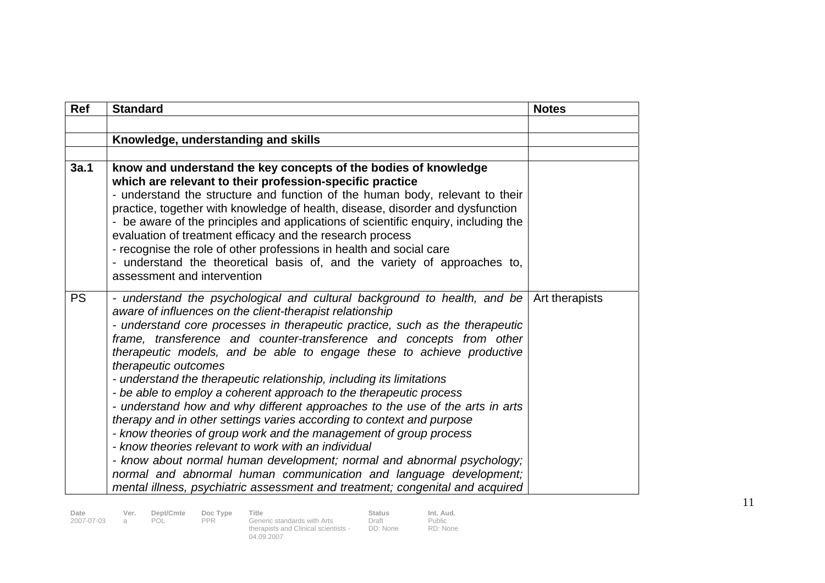| <b>Ref</b> | <b>Standard</b>                                                                                                                                                                                                                                                                                                                                                                                                                                                                                                                                                                                                                                                                                                                                                                                                                                                                                                                                                                                                                                                  | <b>Notes</b>   |
|------------|------------------------------------------------------------------------------------------------------------------------------------------------------------------------------------------------------------------------------------------------------------------------------------------------------------------------------------------------------------------------------------------------------------------------------------------------------------------------------------------------------------------------------------------------------------------------------------------------------------------------------------------------------------------------------------------------------------------------------------------------------------------------------------------------------------------------------------------------------------------------------------------------------------------------------------------------------------------------------------------------------------------------------------------------------------------|----------------|
|            |                                                                                                                                                                                                                                                                                                                                                                                                                                                                                                                                                                                                                                                                                                                                                                                                                                                                                                                                                                                                                                                                  |                |
|            | Knowledge, understanding and skills                                                                                                                                                                                                                                                                                                                                                                                                                                                                                                                                                                                                                                                                                                                                                                                                                                                                                                                                                                                                                              |                |
|            |                                                                                                                                                                                                                                                                                                                                                                                                                                                                                                                                                                                                                                                                                                                                                                                                                                                                                                                                                                                                                                                                  |                |
| 3a.1       | know and understand the key concepts of the bodies of knowledge<br>which are relevant to their profession-specific practice<br>- understand the structure and function of the human body, relevant to their<br>practice, together with knowledge of health, disease, disorder and dysfunction<br>- be aware of the principles and applications of scientific enquiry, including the<br>evaluation of treatment efficacy and the research process<br>- recognise the role of other professions in health and social care<br>- understand the theoretical basis of, and the variety of approaches to,<br>assessment and intervention                                                                                                                                                                                                                                                                                                                                                                                                                               |                |
| <b>PS</b>  | - understand the psychological and cultural background to health, and be<br>aware of influences on the client-therapist relationship<br>- understand core processes in therapeutic practice, such as the therapeutic<br>frame, transference and counter-transference and concepts from other<br>therapeutic models, and be able to engage these to achieve productive<br>therapeutic outcomes<br>- understand the therapeutic relationship, including its limitations<br>- be able to employ a coherent approach to the therapeutic process<br>- understand how and why different approaches to the use of the arts in arts<br>therapy and in other settings varies according to context and purpose<br>- know theories of group work and the management of group process<br>- know theories relevant to work with an individual<br>- know about normal human development; normal and abnormal psychology;<br>normal and abnormal human communication and language development;<br>mental illness, psychiatric assessment and treatment; congenital and acquired | Art therapists |

Public RD: None

Draft DD: None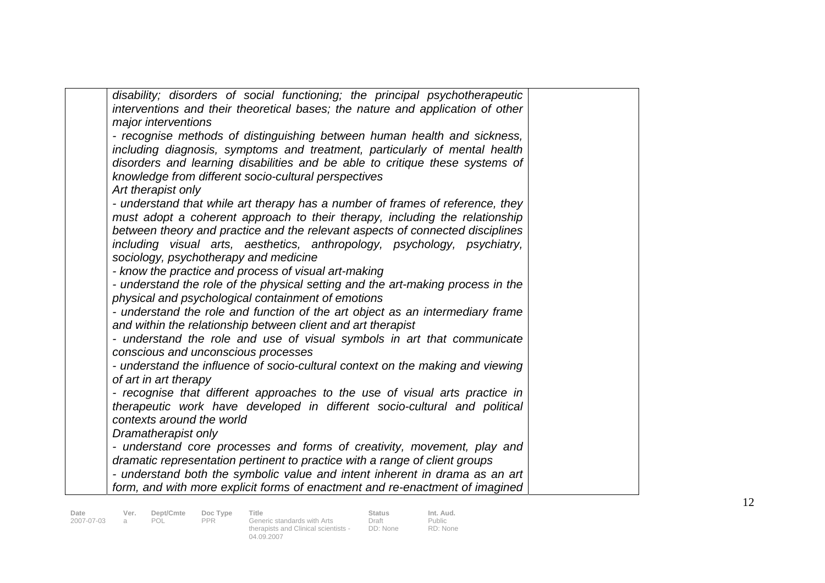| disability; disorders of social functioning; the principal psychotherapeutic<br>interventions and their theoretical bases; the nature and application of other |  |
|----------------------------------------------------------------------------------------------------------------------------------------------------------------|--|
| major interventions                                                                                                                                            |  |
| - recognise methods of distinguishing between human health and sickness,                                                                                       |  |
| including diagnosis, symptoms and treatment, particularly of mental health                                                                                     |  |
| disorders and learning disabilities and be able to critique these systems of                                                                                   |  |
| knowledge from different socio-cultural perspectives                                                                                                           |  |
| Art therapist only                                                                                                                                             |  |
| - understand that while art therapy has a number of frames of reference, they                                                                                  |  |
| must adopt a coherent approach to their therapy, including the relationship                                                                                    |  |
| between theory and practice and the relevant aspects of connected disciplines                                                                                  |  |
| including visual arts, aesthetics, anthropology, psychology, psychiatry,                                                                                       |  |
| sociology, psychotherapy and medicine                                                                                                                          |  |
| - know the practice and process of visual art-making                                                                                                           |  |
| - understand the role of the physical setting and the art-making process in the                                                                                |  |
| physical and psychological containment of emotions                                                                                                             |  |
| - understand the role and function of the art object as an intermediary frame                                                                                  |  |
| and within the relationship between client and art therapist                                                                                                   |  |
| - understand the role and use of visual symbols in art that communicate                                                                                        |  |
| conscious and unconscious processes                                                                                                                            |  |
| - understand the influence of socio-cultural context on the making and viewing                                                                                 |  |
| of art in art therapy                                                                                                                                          |  |
| - recognise that different approaches to the use of visual arts practice in                                                                                    |  |
| therapeutic work have developed in different socio-cultural and political                                                                                      |  |
| contexts around the world                                                                                                                                      |  |
| Dramatherapist only                                                                                                                                            |  |
| - understand core processes and forms of creativity, movement, play and                                                                                        |  |
| dramatic representation pertinent to practice with a range of client groups                                                                                    |  |
| - understand both the symbolic value and intent inherent in drama as an art                                                                                    |  |
| form, and with more explicit forms of enactment and re-enactment of imagined                                                                                   |  |

**Date Ver. Dept/Cmte Doc Type Title . Status Status Int. Aud.**<br>2007-07-03 a POL PPR Generic standards with Arts Draft . Public therapists and Clinical scientists - 04.09.2007

Draft DD: None

Public RD: None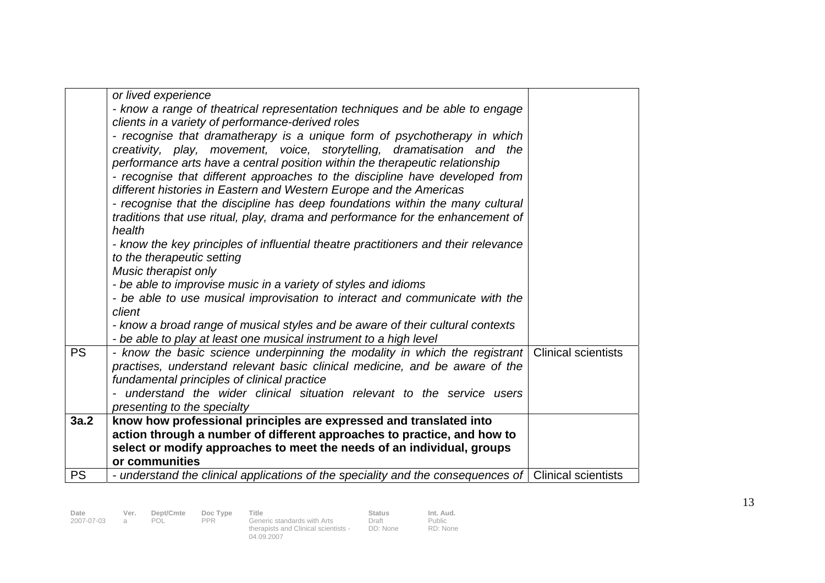|           | or lived experience<br>- know a range of theatrical representation techniques and be able to engage<br>clients in a variety of performance-derived roles<br>- recognise that dramatherapy is a unique form of psychotherapy in which<br>creativity, play, movement, voice, storytelling, dramatisation and the<br>performance arts have a central position within the therapeutic relationship<br>- recognise that different approaches to the discipline have developed from<br>different histories in Eastern and Western Europe and the Americas<br>- recognise that the discipline has deep foundations within the many cultural<br>traditions that use ritual, play, drama and performance for the enhancement of<br>health<br>- know the key principles of influential theatre practitioners and their relevance<br>to the therapeutic setting<br>Music therapist only<br>- be able to improvise music in a variety of styles and idioms<br>- be able to use musical improvisation to interact and communicate with the<br>client<br>- know a broad range of musical styles and be aware of their cultural contexts<br>- be able to play at least one musical instrument to a high level |  |
|-----------|------------------------------------------------------------------------------------------------------------------------------------------------------------------------------------------------------------------------------------------------------------------------------------------------------------------------------------------------------------------------------------------------------------------------------------------------------------------------------------------------------------------------------------------------------------------------------------------------------------------------------------------------------------------------------------------------------------------------------------------------------------------------------------------------------------------------------------------------------------------------------------------------------------------------------------------------------------------------------------------------------------------------------------------------------------------------------------------------------------------------------------------------------------------------------------------------|--|
| <b>PS</b> | - know the basic science underpinning the modality in which the registrant Clinical scientists<br>practises, understand relevant basic clinical medicine, and be aware of the<br>fundamental principles of clinical practice<br>- understand the wider clinical situation relevant to the service users<br>presenting to the specialty                                                                                                                                                                                                                                                                                                                                                                                                                                                                                                                                                                                                                                                                                                                                                                                                                                                         |  |
| 3a.2      | know how professional principles are expressed and translated into<br>action through a number of different approaches to practice, and how to                                                                                                                                                                                                                                                                                                                                                                                                                                                                                                                                                                                                                                                                                                                                                                                                                                                                                                                                                                                                                                                  |  |
|           | select or modify approaches to meet the needs of an individual, groups                                                                                                                                                                                                                                                                                                                                                                                                                                                                                                                                                                                                                                                                                                                                                                                                                                                                                                                                                                                                                                                                                                                         |  |
|           | or communities                                                                                                                                                                                                                                                                                                                                                                                                                                                                                                                                                                                                                                                                                                                                                                                                                                                                                                                                                                                                                                                                                                                                                                                 |  |
| <b>PS</b> | - understand the clinical applications of the speciality and the consequences of Clinical scientists                                                                                                                                                                                                                                                                                                                                                                                                                                                                                                                                                                                                                                                                                                                                                                                                                                                                                                                                                                                                                                                                                           |  |
|           |                                                                                                                                                                                                                                                                                                                                                                                                                                                                                                                                                                                                                                                                                                                                                                                                                                                                                                                                                                                                                                                                                                                                                                                                |  |

Public RD: None

Draft DD: None